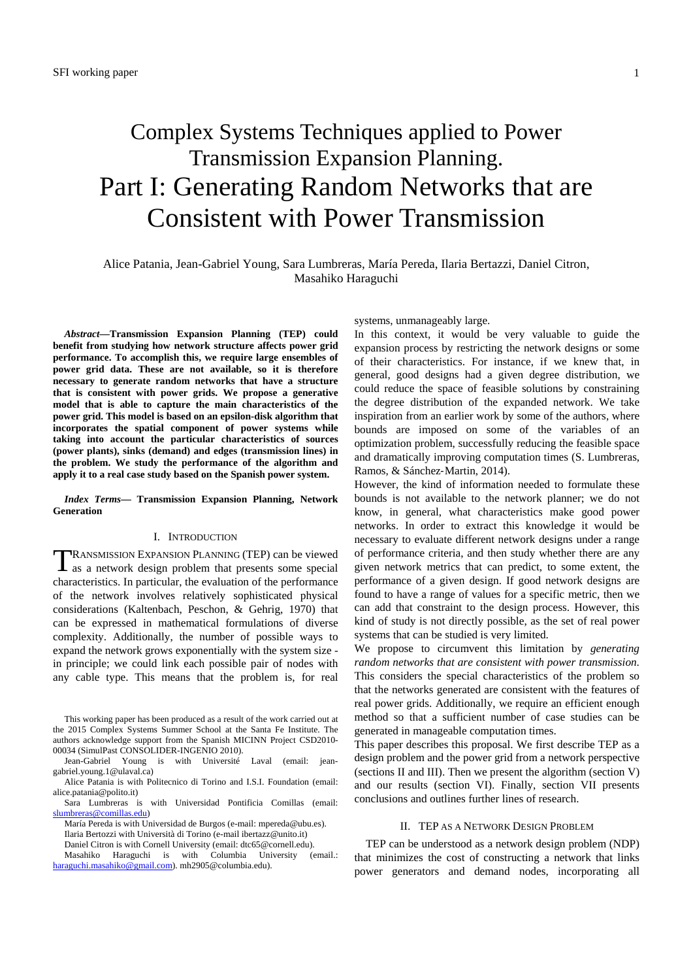# Complex Systems Techniques applied to Power Transmission Expansion Planning. Part I: Generating Random Networks that are Consistent with Power Transmission

## Alice Patania, Jean-Gabriel Young, Sara Lumbreras, María Pereda, Ilaria Bertazzi, Daniel Citron, Masahiko Haraguchi

*Abstract***—Transmission Expansion Planning (TEP) could benefit from studying how network structure affects power grid performance. To accomplish this, we require large ensembles of power grid data. These are not available, so it is therefore necessary to generate random networks that have a structure that is consistent with power grids. We propose a generative model that is able to capture the main characteristics of the power grid. This model is based on an epsilon-disk algorithm that incorporates the spatial component of power systems while taking into account the particular characteristics of sources (power plants), sinks (demand) and edges (transmission lines) in the problem. We study the performance of the algorithm and apply it to a real case study based on the Spanish power system.** 

*Index Terms***— Transmission Expansion Planning, Network Generation** 

#### I. INTRODUCTION

RANSMISSION EXPANSION PLANNING (TEP) can be viewed TRANSMISSION EXPANSION PLANNING (TEP) can be viewed<br>as a network design problem that presents some special characteristics. In particular, the evaluation of the performance of the network involves relatively sophisticated physical considerations (Kaltenbach, Peschon, & Gehrig, 1970) that can be expressed in mathematical formulations of diverse complexity. Additionally, the number of possible ways to expand the network grows exponentially with the system size in principle; we could link each possible pair of nodes with any cable type. This means that the problem is, for real

systems, unmanageably large.

In this context, it would be very valuable to guide the expansion process by restricting the network designs or some of their characteristics. For instance, if we knew that, in general, good designs had a given degree distribution, we could reduce the space of feasible solutions by constraining the degree distribution of the expanded network. We take inspiration from an earlier work by some of the authors, where bounds are imposed on some of the variables of an optimization problem, successfully reducing the feasible space and dramatically improving computation times (S. Lumbreras, Ramos, & Sánchez‐Martin, 2014).

However, the kind of information needed to formulate these bounds is not available to the network planner; we do not know, in general, what characteristics make good power networks. In order to extract this knowledge it would be necessary to evaluate different network designs under a range of performance criteria, and then study whether there are any given network metrics that can predict, to some extent, the performance of a given design. If good network designs are found to have a range of values for a specific metric, then we can add that constraint to the design process. However, this kind of study is not directly possible, as the set of real power systems that can be studied is very limited.

We propose to circumvent this limitation by *generating random networks that are consistent with power transmission*. This considers the special characteristics of the problem so that the networks generated are consistent with the features of real power grids. Additionally, we require an efficient enough method so that a sufficient number of case studies can be generated in manageable computation times.

This paper describes this proposal. We first describe TEP as a design problem and the power grid from a network perspective (sections II and III). Then we present the algorithm (section V) and our results (section VI). Finally, section VII presents conclusions and outlines further lines of research.

#### II. TEP AS A NETWORK DESIGN PROBLEM

TEP can be understood as a network design problem (NDP) that minimizes the cost of constructing a network that links power generators and demand nodes, incorporating all

This working paper has been produced as a result of the work carried out at the 2015 Complex Systems Summer School at the Santa Fe Institute. The authors acknowledge support from the Spanish MICINN Project CSD2010- 00034 (SimulPast CONSOLIDER-INGENIO 2010).

Jean-Gabriel Young is with Université Laval (email: jeangabriel.young.1@ulaval.ca)

Alice Patania is with Politecnico di Torino and I.S.I. Foundation (email: alice.patania@polito.it)

Sara Lumbreras is with Universidad Pontificia Comillas (email: slumbreras@comillas.edu)

María Pereda is with Universidad de Burgos (e-mail: mpereda@ubu.es). Ilaria Bertozzi with Università di Torino (e-mail ibertazz@unito.it) Daniel Citron is with Cornell University (email: dtc65@cornell.edu).

Masahiko Haraguchi is with Columbia University (email.: haraguchi.masahiko@gmail.com). mh2905@columbia.edu).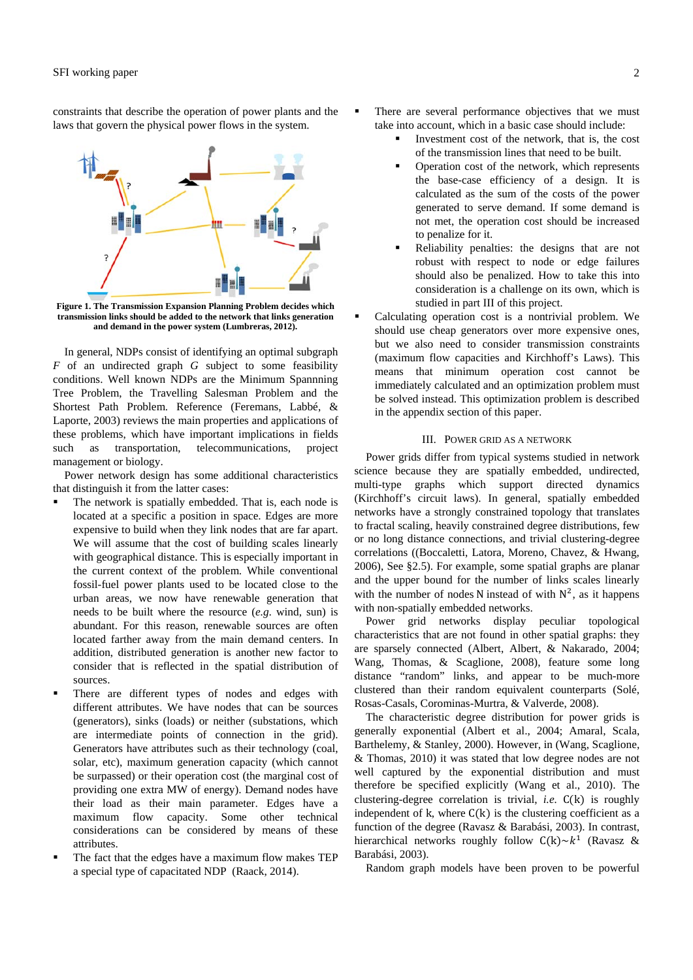constraints that describe the operation of power plants and the laws that govern the physical power flows in the system.



**Figure 1. The Transmission Expansion Planning Problem decides which transmission links should be added to the network that links generation and demand in the power system (Lumbreras, 2012).** 

In general, NDPs consist of identifying an optimal subgraph *F* of an undirected graph *G* subject to some feasibility conditions. Well known NDPs are the Minimum Spannning Tree Problem, the Travelling Salesman Problem and the Shortest Path Problem. Reference (Feremans, Labbé, & Laporte, 2003) reviews the main properties and applications of these problems, which have important implications in fields such as transportation, telecommunications, project management or biology.

Power network design has some additional characteristics that distinguish it from the latter cases:

- The network is spatially embedded. That is, each node is located at a specific a position in space. Edges are more expensive to build when they link nodes that are far apart. We will assume that the cost of building scales linearly with geographical distance. This is especially important in the current context of the problem. While conventional fossil-fuel power plants used to be located close to the urban areas, we now have renewable generation that needs to be built where the resource (*e.g*. wind, sun) is abundant. For this reason, renewable sources are often located farther away from the main demand centers. In addition, distributed generation is another new factor to consider that is reflected in the spatial distribution of sources.
- There are different types of nodes and edges with different attributes. We have nodes that can be sources (generators), sinks (loads) or neither (substations, which are intermediate points of connection in the grid). Generators have attributes such as their technology (coal, solar, etc), maximum generation capacity (which cannot be surpassed) or their operation cost (the marginal cost of providing one extra MW of energy). Demand nodes have their load as their main parameter. Edges have a maximum flow capacity. Some other technical considerations can be considered by means of these attributes.
- The fact that the edges have a maximum flow makes TEP a special type of capacitated NDP (Raack, 2014).
- There are several performance objectives that we must take into account, which in a basic case should include:
	- Investment cost of the network, that is, the cost of the transmission lines that need to be built.
	- Operation cost of the network, which represents the base-case efficiency of a design. It is calculated as the sum of the costs of the power generated to serve demand. If some demand is not met, the operation cost should be increased to penalize for it.
	- Reliability penalties: the designs that are not robust with respect to node or edge failures should also be penalized. How to take this into consideration is a challenge on its own, which is studied in part III of this project.
- Calculating operation cost is a nontrivial problem. We should use cheap generators over more expensive ones, but we also need to consider transmission constraints (maximum flow capacities and Kirchhoff's Laws). This means that minimum operation cost cannot be immediately calculated and an optimization problem must be solved instead. This optimization problem is described in the appendix section of this paper.

## III. POWER GRID AS A NETWORK

Power grids differ from typical systems studied in network science because they are spatially embedded, undirected, multi-type graphs which support directed dynamics (Kirchhoff's circuit laws). In general, spatially embedded networks have a strongly constrained topology that translates to fractal scaling, heavily constrained degree distributions, few or no long distance connections, and trivial clustering-degree correlations ((Boccaletti, Latora, Moreno, Chavez, & Hwang, 2006), See §2.5). For example, some spatial graphs are planar and the upper bound for the number of links scales linearly with the number of nodes N instead of with  $N^2$ , as it happens with non-spatially embedded networks.

Power grid networks display peculiar topological characteristics that are not found in other spatial graphs: they are sparsely connected (Albert, Albert, & Nakarado, 2004; Wang, Thomas, & Scaglione, 2008), feature some long distance "random" links, and appear to be much-more clustered than their random equivalent counterparts (Solé, Rosas-Casals, Corominas-Murtra, & Valverde, 2008).

The characteristic degree distribution for power grids is generally exponential (Albert et al., 2004; Amaral, Scala, Barthelemy, & Stanley, 2000). However, in (Wang, Scaglione, & Thomas, 2010) it was stated that low degree nodes are not well captured by the exponential distribution and must therefore be specified explicitly (Wang et al., 2010). The clustering-degree correlation is trivial, *i.e.*  $C(k)$  is roughly independent of k, where  $C(k)$  is the clustering coefficient as a function of the degree (Ravasz & Barabási, 2003). In contrast, hierarchical networks roughly follow  $C(k) \sim k^1$  (Ravasz & Barabási, 2003).

Random graph models have been proven to be powerful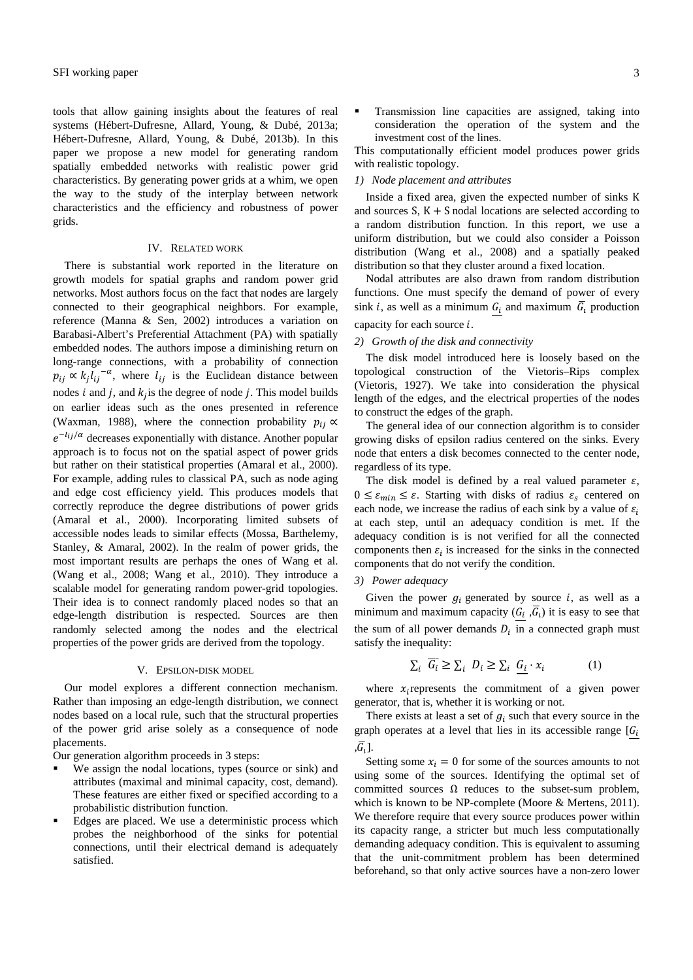tools that allow gaining insights about the features of real systems (Hébert-Dufresne, Allard, Young, & Dubé, 2013a; Hébert-Dufresne, Allard, Young, & Dubé, 2013b). In this paper we propose a new model for generating random spatially embedded networks with realistic power grid characteristics. By generating power grids at a whim, we open the way to the study of the interplay between network characteristics and the efficiency and robustness of power grids.

## IV. RELATED WORK

There is substantial work reported in the literature on growth models for spatial graphs and random power grid networks. Most authors focus on the fact that nodes are largely connected to their geographical neighbors. For example, reference (Manna & Sen, 2002) introduces a variation on Barabasi-Albert's Preferential Attachment (PA) with spatially embedded nodes. The authors impose a diminishing return on long-range connections, with a probability of connection  $p_{ij} \propto k_j l_{ij}^{-\alpha}$ , where  $l_{ij}$  is the Euclidean distance between nodes  $i$  and  $j$ , and  $k<sub>i</sub>$  is the degree of node  $j$ . This model builds on earlier ideas such as the ones presented in reference (Waxman, 1988), where the connection probability  $p_{ij} \propto$  $e^{-l_{ij}/\alpha}$  decreases exponentially with distance. Another popular approach is to focus not on the spatial aspect of power grids but rather on their statistical properties (Amaral et al., 2000). For example, adding rules to classical PA, such as node aging and edge cost efficiency yield. This produces models that correctly reproduce the degree distributions of power grids (Amaral et al., 2000). Incorporating limited subsets of accessible nodes leads to similar effects (Mossa, Barthelemy, Stanley, & Amaral, 2002). In the realm of power grids, the most important results are perhaps the ones of Wang et al. (Wang et al., 2008; Wang et al., 2010). They introduce a scalable model for generating random power-grid topologies. Their idea is to connect randomly placed nodes so that an edge-length distribution is respected. Sources are then randomly selected among the nodes and the electrical properties of the power grids are derived from the topology.

## V. EPSILON-DISK MODEL

Our model explores a different connection mechanism. Rather than imposing an edge-length distribution, we connect nodes based on a local rule, such that the structural properties of the power grid arise solely as a consequence of node placements.

Our generation algorithm proceeds in 3 steps:

- We assign the nodal locations, types (source or sink) and attributes (maximal and minimal capacity, cost, demand). These features are either fixed or specified according to a probabilistic distribution function.
- Edges are placed. We use a deterministic process which probes the neighborhood of the sinks for potential connections, until their electrical demand is adequately satisfied.

 Transmission line capacities are assigned, taking into consideration the operation of the system and the investment cost of the lines.

This computationally efficient model produces power grids with realistic topology.

#### *1) Node placement and attributes*

Inside a fixed area, given the expected number of sinks K and sources  $S, K + S$  nodal locations are selected according to a random distribution function. In this report, we use a uniform distribution, but we could also consider a Poisson distribution (Wang et al., 2008) and a spatially peaked distribution so that they cluster around a fixed location.

Nodal attributes are also drawn from random distribution functions. One must specify the demand of power of every sink *i*, as well as a minimum  $G_i$  and maximum  $\overline{G}_i$  production

# capacity for each source  $i$ . *2) Growth of the disk and connectivity*

The disk model introduced here is loosely based on the topological construction of the Vietoris–Rips complex (Vietoris, 1927). We take into consideration the physical length of the edges, and the electrical properties of the nodes to construct the edges of the graph.

The general idea of our connection algorithm is to consider growing disks of epsilon radius centered on the sinks. Every node that enters a disk becomes connected to the center node, regardless of its type.

The disk model is defined by a real valued parameter  $\varepsilon$ ,  $0 \leq \varepsilon_{min} \leq \varepsilon$ . Starting with disks of radius  $\varepsilon_{s}$  centered on each node, we increase the radius of each sink by a value of  $\varepsilon_i$ at each step, until an adequacy condition is met. If the adequacy condition is is not verified for all the connected components then  $\varepsilon_i$  is increased for the sinks in the connected components that do not verify the condition.

#### *3) Power adequacy*

Given the power  $g_i$  generated by source  $i$ , as well as a minimum and maximum capacity  $(G_i, \overline{G_i})$  it is easy to see that the sum of all power demands  $D_i$  in a connected graph must satisfy the inequality:

$$
\sum_{i} \overline{G_i} \ge \sum_{i} D_i \ge \sum_{i} G_i \cdot x_i \tag{1}
$$

where  $x_i$  represents the commitment of a given power generator, that is, whether it is working or not.

There exists at least a set of  $g_i$  such that every source in the graph operates at a level that lies in its accessible range  $[G_i]$  $\overline{G}$ .

Setting some  $x_i = 0$  for some of the sources amounts to not using some of the sources. Identifying the optimal set of committed sources  $\Omega$  reduces to the subset-sum problem, which is known to be NP-complete (Moore & Mertens, 2011). We therefore require that every source produces power within its capacity range, a stricter but much less computationally demanding adequacy condition. This is equivalent to assuming that the unit-commitment problem has been determined beforehand, so that only active sources have a non-zero lower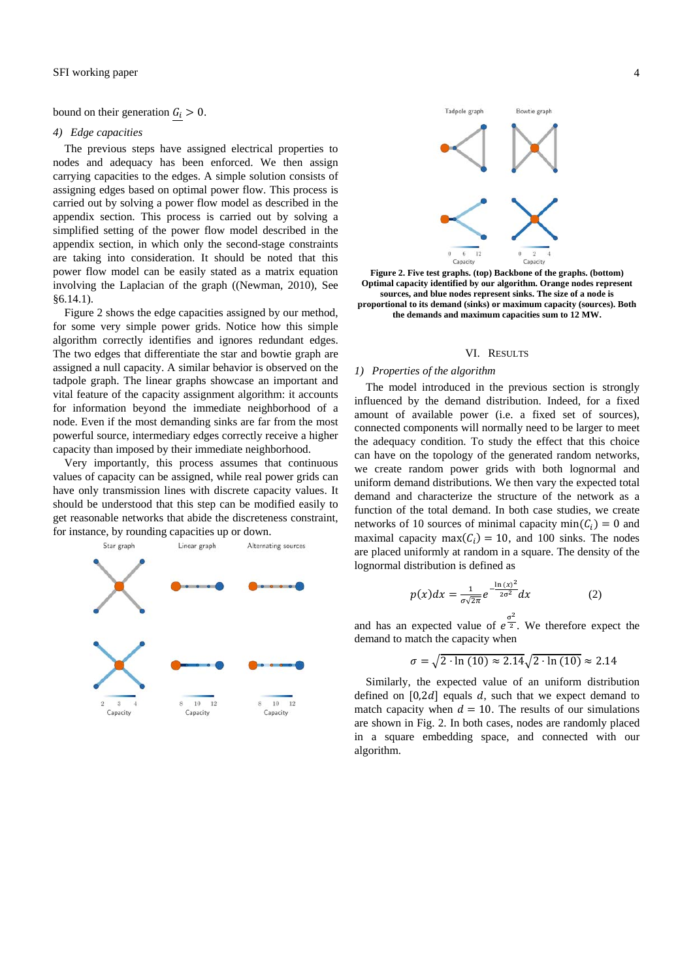bound on their generation  $G_i > 0$ .

#### *4) Edge capacities*

The previous steps have assigned electrical properties to nodes and adequacy has been enforced. We then assign carrying capacities to the edges. A simple solution consists of assigning edges based on optimal power flow. This process is carried out by solving a power flow model as described in the appendix section. This process is carried out by solving a simplified setting of the power flow model described in the appendix section, in which only the second-stage constraints are taking into consideration. It should be noted that this power flow model can be easily stated as a matrix equation involving the Laplacian of the graph ((Newman, 2010), See §6.14.1).

Figure 2 shows the edge capacities assigned by our method, for some very simple power grids. Notice how this simple algorithm correctly identifies and ignores redundant edges. The two edges that differentiate the star and bowtie graph are assigned a null capacity. A similar behavior is observed on the tadpole graph. The linear graphs showcase an important and vital feature of the capacity assignment algorithm: it accounts for information beyond the immediate neighborhood of a node. Even if the most demanding sinks are far from the most powerful source, intermediary edges correctly receive a higher capacity than imposed by their immediate neighborhood.

Very importantly, this process assumes that continuous values of capacity can be assigned, while real power grids can have only transmission lines with discrete capacity values. It should be understood that this step can be modified easily to get reasonable networks that abide the discreteness constraint, for instance, by rounding capacities up or down.





**Figure 2. Five test graphs. (top) Backbone of the graphs. (bottom) Optimal capacity identified by our algorithm. Orange nodes represent sources, and blue nodes represent sinks. The size of a node is proportional to its demand (sinks) or maximum capacity (sources). Both the demands and maximum capacities sum to 12 MW.** 

### VI. RESULTS

#### *1) Properties of the algorithm*

The model introduced in the previous section is strongly influenced by the demand distribution. Indeed, for a fixed amount of available power (i.e. a fixed set of sources), connected components will normally need to be larger to meet the adequacy condition. To study the effect that this choice can have on the topology of the generated random networks, we create random power grids with both lognormal and uniform demand distributions. We then vary the expected total demand and characterize the structure of the network as a function of the total demand. In both case studies, we create networks of 10 sources of minimal capacity min $(C_i) = 0$  and maximal capacity max( $C_i$ ) = 10, and 100 sinks. The nodes are placed uniformly at random in a square. The density of the lognormal distribution is defined as

$$
p(x)dx = \frac{1}{\sigma\sqrt{2\pi}}e^{-\frac{\ln(x)^2}{2\sigma^2}}dx
$$
 (2)

and has an expected value of  $e^{\frac{\sigma^2}{2}}$ . We therefore expect the demand to match the capacity when

$$
\sigma = \sqrt{2 \cdot \ln(10)} \approx 2.14 \sqrt{2 \cdot \ln(10)} \approx 2.14
$$

Similarly, the expected value of an uniform distribution defined on  $[0,2d]$  equals d, such that we expect demand to match capacity when  $d = 10$ . The results of our simulations are shown in Fig. 2. In both cases, nodes are randomly placed in a square embedding space, and connected with our algorithm.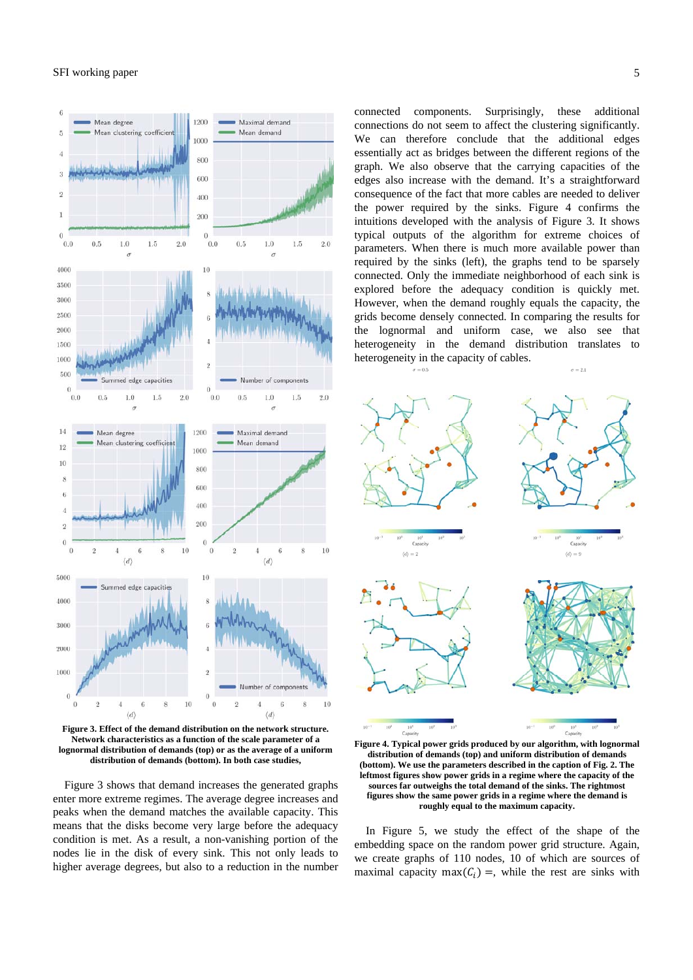## SFI working paper 5



**Figure 3. Effect of the demand distribution on the network structure. Network characteristics as a function of the scale parameter of a lognormal distribution of demands (top) or as the average of a uniform distribution of demands (bottom). In both case studies,** 

Figure 3 shows that demand increases the generated graphs enter more extreme regimes. The average degree increases and peaks when the demand matches the available capacity. This means that the disks become very large before the adequacy condition is met. As a result, a non-vanishing portion of the nodes lie in the disk of every sink. This not only leads to higher average degrees, but also to a reduction in the number connected components. Surprisingly, these additional connections do not seem to affect the clustering significantly. We can therefore conclude that the additional edges essentially act as bridges between the different regions of the graph. We also observe that the carrying capacities of the edges also increase with the demand. It's a straightforward consequence of the fact that more cables are needed to deliver the power required by the sinks. Figure 4 confirms the intuitions developed with the analysis of Figure 3. It shows typical outputs of the algorithm for extreme choices of parameters. When there is much more available power than required by the sinks (left), the graphs tend to be sparsely connected. Only the immediate neighborhood of each sink is explored before the adequacy condition is quickly met. However, when the demand roughly equals the capacity, the grids become densely connected. In comparing the results for the lognormal and uniform case, we also see that heterogeneity in the demand distribution translates to heterogeneity in the capacity of cables.  $\sigma = 2.1$ 



**Figure 4. Typical power grids produced by our algorithm, with lognormal distribution of demands (top) and uniform distribution of demands (bottom). We use the parameters described in the caption of Fig. 2. The leftmost figures show power grids in a regime where the capacity of the sources far outweighs the total demand of the sinks. The rightmost figures show the same power grids in a regime where the demand is roughly equal to the maximum capacity.** 

In Figure 5, we study the effect of the shape of the embedding space on the random power grid structure. Again, we create graphs of 110 nodes, 10 of which are sources of maximal capacity max( $C_i$ ) =, while the rest are sinks with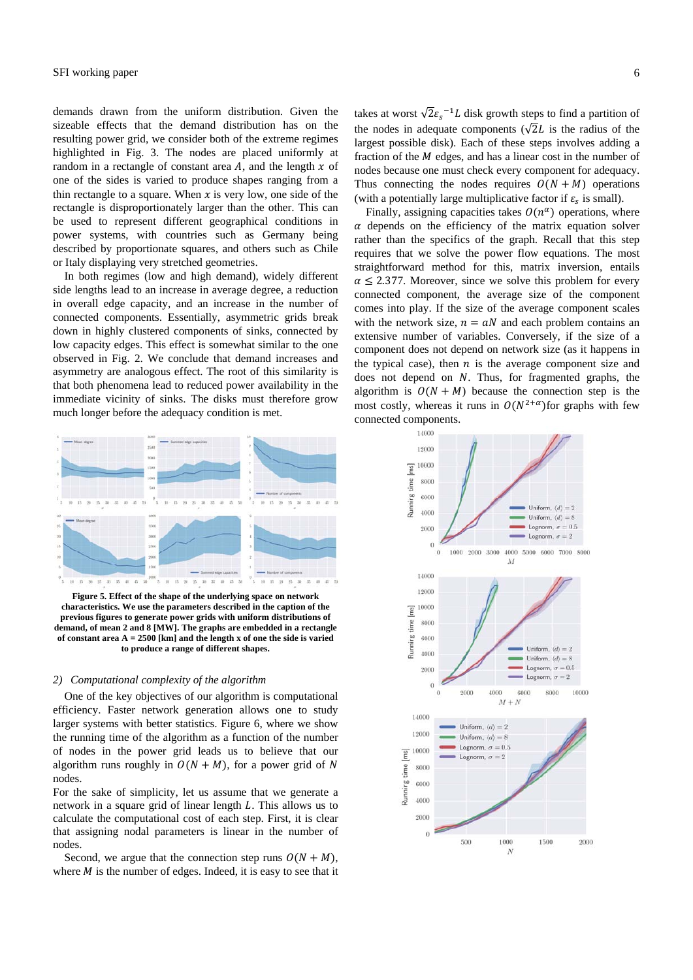demands drawn from the uniform distribution. Given the sizeable effects that the demand distribution has on the resulting power grid, we consider both of the extreme regimes highlighted in Fig. 3. The nodes are placed uniformly at random in a rectangle of constant area  $A$ , and the length  $x$  of one of the sides is varied to produce shapes ranging from a thin rectangle to a square. When  $x$  is very low, one side of the rectangle is disproportionately larger than the other. This can be used to represent different geographical conditions in power systems, with countries such as Germany being described by proportionate squares, and others such as Chile or Italy displaying very stretched geometries.

In both regimes (low and high demand), widely different side lengths lead to an increase in average degree, a reduction in overall edge capacity, and an increase in the number of connected components. Essentially, asymmetric grids break down in highly clustered components of sinks, connected by low capacity edges. This effect is somewhat similar to the one observed in Fig. 2. We conclude that demand increases and asymmetry are analogous effect. The root of this similarity is that both phenomena lead to reduced power availability in the immediate vicinity of sinks. The disks must therefore grow much longer before the adequacy condition is met.



**Figure 5. Effect of the shape of the underlying space on network characteristics. We use the parameters described in the caption of the previous figures to generate power grids with uniform distributions of demand, of mean 2 and 8 [MW]. The graphs are embedded in a rectangle of constant area A = 2500 [km] and the length x of one the side is varied to produce a range of different shapes.** 

#### *2) Computational complexity of the algorithm*

One of the key objectives of our algorithm is computational efficiency. Faster network generation allows one to study larger systems with better statistics. Figure 6, where we show the running time of the algorithm as a function of the number of nodes in the power grid leads us to believe that our algorithm runs roughly in  $O(N + M)$ , for a power grid of N nodes.

For the sake of simplicity, let us assume that we generate a network in a square grid of linear length L. This allows us to calculate the computational cost of each step. First, it is clear that assigning nodal parameters is linear in the number of nodes.

Second, we argue that the connection step runs  $O(N + M)$ , where  $M$  is the number of edges. Indeed, it is easy to see that it

takes at worst  $\sqrt{2}\varepsilon_s^{-1}L$  disk growth steps to find a partition of the nodes in adequate components ( $\sqrt{2}L$  is the radius of the largest possible disk). Each of these steps involves adding a fraction of the *M* edges, and has a linear cost in the number of nodes because one must check every component for adequacy. Thus connecting the nodes requires  $O(N + M)$  operations (with a potentially large multiplicative factor if  $\varepsilon_s$  is small).

Finally, assigning capacities takes  $O(n^{\alpha})$  operations, where  $\alpha$  depends on the efficiency of the matrix equation solver rather than the specifics of the graph. Recall that this step requires that we solve the power flow equations. The most straightforward method for this, matrix inversion, entails  $\alpha \leq 2.377$ . Moreover, since we solve this problem for every connected component, the average size of the component comes into play. If the size of the average component scales with the network size,  $n = aN$  and each problem contains an extensive number of variables. Conversely, if the size of a component does not depend on network size (as it happens in the typical case), then  $n$  is the average component size and does not depend on  $N$ . Thus, for fragmented graphs, the algorithm is  $O(N + M)$  because the connection step is the most costly, whereas it runs in  $O(N^{2+\alpha})$  for graphs with few connected components.

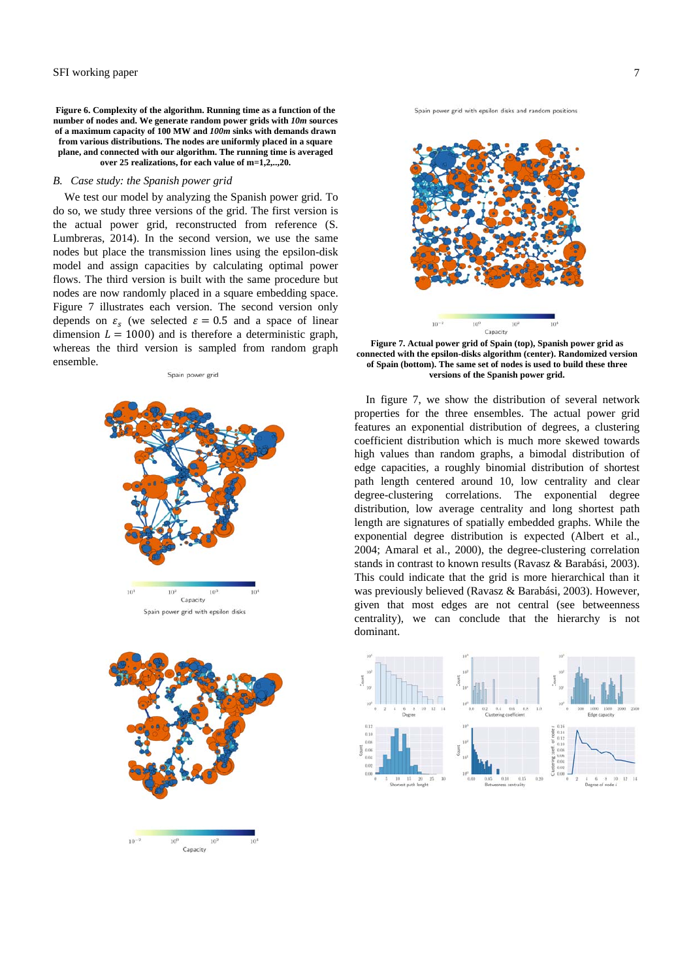**Figure 6. Complexity of the algorithm. Running time as a function of the number of nodes and. We generate random power grids with** *10m* **sources of a maximum capacity of 100 MW and** *100m* **sinks with demands drawn from various distributions. The nodes are uniformly placed in a square plane, and connected with our algorithm. The running time is averaged over 25 realizations, for each value of m=1,2,..,20.** 

#### *B. Case study: the Spanish power grid*

We test our model by analyzing the Spanish power grid. To do so, we study three versions of the grid. The first version is the actual power grid, reconstructed from reference (S. Lumbreras, 2014). In the second version, we use the same nodes but place the transmission lines using the epsilon-disk model and assign capacities by calculating optimal power flows. The third version is built with the same procedure but nodes are now randomly placed in a square embedding space. Figure 7 illustrates each version. The second version only depends on  $\varepsilon_s$  (we selected  $\varepsilon = 0.5$  and a space of linear dimension  $L = 1000$ ) and is therefore a deterministic graph, whereas the third version is sampled from random graph ensemble. Spain power grid





 $10^{-3}$  $10^{6}$ Capacity Spain power grid with epsilon disks and random positions



**Figure 7. Actual power grid of Spain (top), Spanish power grid as connected with the epsilon-disks algorithm (center). Randomized version of Spain (bottom). The same set of nodes is used to build these three versions of the Spanish power grid.** 

In figure 7, we show the distribution of several network properties for the three ensembles. The actual power grid features an exponential distribution of degrees, a clustering coefficient distribution which is much more skewed towards high values than random graphs, a bimodal distribution of edge capacities, a roughly binomial distribution of shortest path length centered around 10, low centrality and clear degree-clustering correlations. The exponential degree distribution, low average centrality and long shortest path length are signatures of spatially embedded graphs. While the exponential degree distribution is expected (Albert et al., 2004; Amaral et al., 2000), the degree-clustering correlation stands in contrast to known results (Ravasz & Barabási, 2003). This could indicate that the grid is more hierarchical than it was previously believed (Ravasz & Barabási, 2003). However, given that most edges are not central (see betweenness centrality), we can conclude that the hierarchy is not dominant.

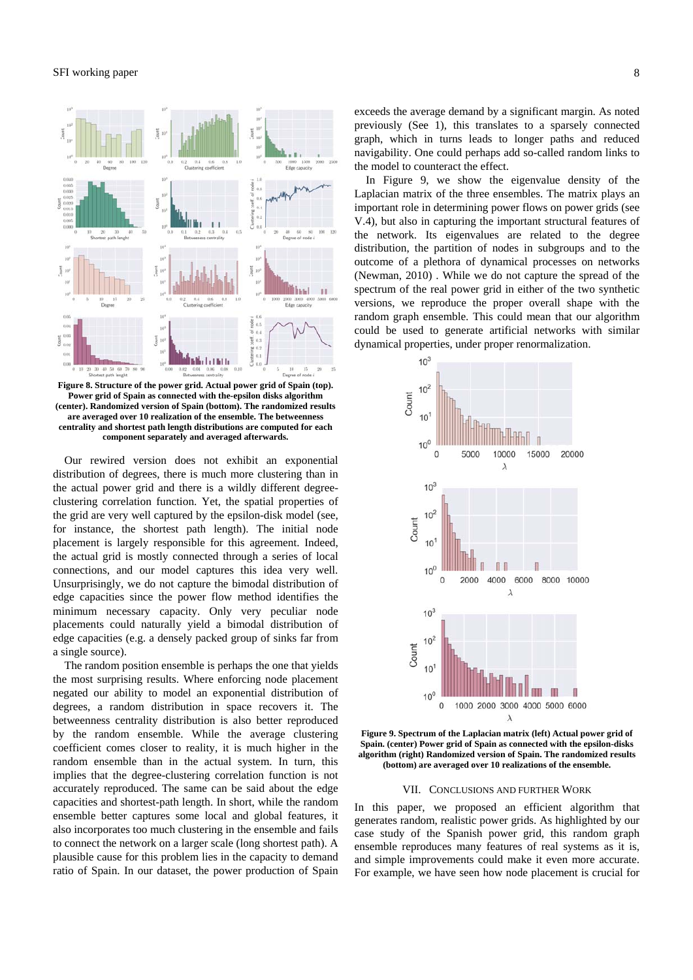## SFI working paper 8



**Figure 8. Structure of the power grid. Actual power grid of Spain (top). Power grid of Spain as connected with the-epsilon disks algorithm (center). Randomized version of Spain (bottom). The randomized results are averaged over 10 realization of the ensemble. The betweenness centrality and shortest path length distributions are computed for each component separately and averaged afterwards.** 

Our rewired version does not exhibit an exponential distribution of degrees, there is much more clustering than in the actual power grid and there is a wildly different degreeclustering correlation function. Yet, the spatial properties of the grid are very well captured by the epsilon-disk model (see, for instance, the shortest path length). The initial node placement is largely responsible for this agreement. Indeed, the actual grid is mostly connected through a series of local connections, and our model captures this idea very well. Unsurprisingly, we do not capture the bimodal distribution of edge capacities since the power flow method identifies the minimum necessary capacity. Only very peculiar node placements could naturally yield a bimodal distribution of edge capacities (e.g. a densely packed group of sinks far from a single source).

The random position ensemble is perhaps the one that yields the most surprising results. Where enforcing node placement negated our ability to model an exponential distribution of degrees, a random distribution in space recovers it. The betweenness centrality distribution is also better reproduced by the random ensemble. While the average clustering coefficient comes closer to reality, it is much higher in the random ensemble than in the actual system. In turn, this implies that the degree-clustering correlation function is not accurately reproduced. The same can be said about the edge capacities and shortest-path length. In short, while the random ensemble better captures some local and global features, it also incorporates too much clustering in the ensemble and fails to connect the network on a larger scale (long shortest path). A plausible cause for this problem lies in the capacity to demand ratio of Spain. In our dataset, the power production of Spain exceeds the average demand by a significant margin. As noted previously (See 1), this translates to a sparsely connected graph, which in turns leads to longer paths and reduced navigability. One could perhaps add so-called random links to the model to counteract the effect.

In Figure 9, we show the eigenvalue density of the Laplacian matrix of the three ensembles. The matrix plays an important role in determining power flows on power grids (see V.4), but also in capturing the important structural features of the network. Its eigenvalues are related to the degree distribution, the partition of nodes in subgroups and to the outcome of a plethora of dynamical processes on networks (Newman, 2010) . While we do not capture the spread of the spectrum of the real power grid in either of the two synthetic versions, we reproduce the proper overall shape with the random graph ensemble. This could mean that our algorithm could be used to generate artificial networks with similar dynamical properties, under proper renormalization.



**Figure 9. Spectrum of the Laplacian matrix (left) Actual power grid of Spain. (center) Power grid of Spain as connected with the epsilon-disks algorithm (right) Randomized version of Spain. The randomized results (bottom) are averaged over 10 realizations of the ensemble.** 

#### VII. CONCLUSIONS AND FURTHER WORK

In this paper, we proposed an efficient algorithm that generates random, realistic power grids. As highlighted by our case study of the Spanish power grid, this random graph ensemble reproduces many features of real systems as it is, and simple improvements could make it even more accurate. For example, we have seen how node placement is crucial for